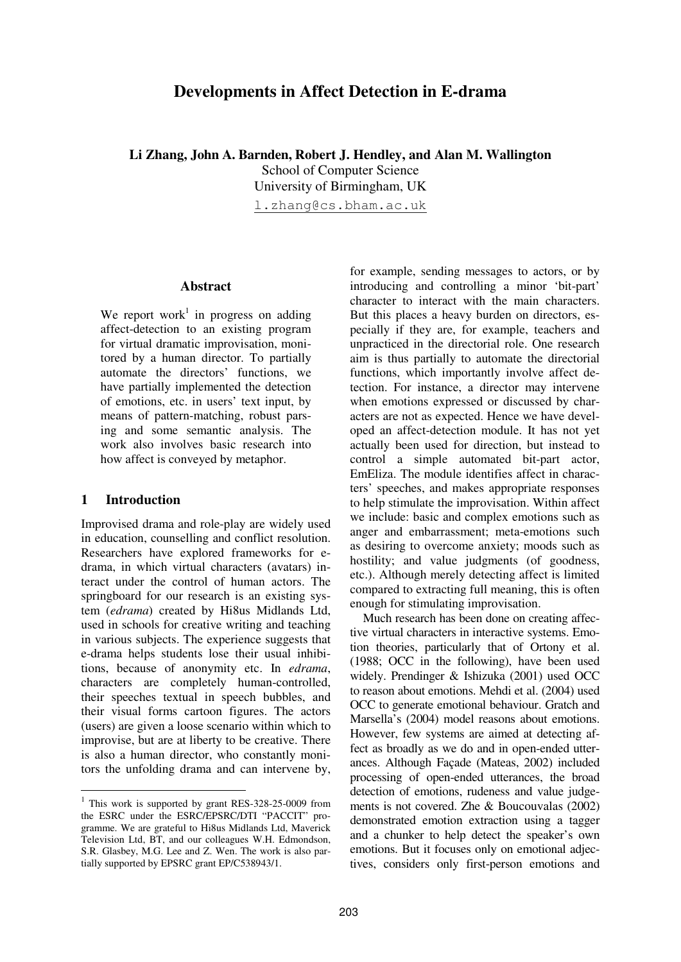# **Developments in Affect Detection in E-drama**

**Li Zhang, John A. Barnden, Robert J. Hendley, and Alan M. Wallington** School of Computer Science University of Birmingham, UK

l.zhang@cs.bham.ac.uk

#### **Abstract**

We report work<sup>1</sup> in progress on adding affect-detection to an existing program for virtual dramatic improvisation, monitored by a human director. To partially automate the directors' functions, we have partially implemented the detection of emotions, etc. in users' text input, by means of pattern-matching, robust parsing and some semantic analysis. The work also involves basic research into how affect is conveyed by metaphor.

#### **1 Introduction**

Improvised drama and role-play are widely used in education, counselling and conflict resolution. Researchers have explored frameworks for edrama, in which virtual characters (avatars) interact under the control of human actors. The springboard for our research is an existing system (*edrama*) created by Hi8us Midlands Ltd, used in schools for creative writing and teaching in various subjects. The experience suggests that e-drama helps students lose their usual inhibitions, because of anonymity etc. In *edrama*, characters are completely human-controlled, their speeches textual in speech bubbles, and their visual forms cartoon figures. The actors (users) are given a loose scenario within which to improvise, but are at liberty to be creative. There is also a human director, who constantly monitors the unfolding drama and can intervene by,

for example, sending messages to actors, or by introducing and controlling a minor 'bit-part' character to interact with the main characters. But this places a heavy burden on directors, especially if they are, for example, teachers and unpracticed in the directorial role. One research aim is thus partially to automate the directorial functions, which importantly involve affect detection. For instance, a director may intervene when emotions expressed or discussed by characters are not as expected. Hence we have developed an affect-detection module. It has not yet actually been used for direction, but instead to control a simple automated bit-part actor, EmEliza. The module identifies affect in characters' speeches, and makes appropriate responses to help stimulate the improvisation. Within affect we include: basic and complex emotions such as anger and embarrassment; meta-emotions such as desiring to overcome anxiety; moods such as hostility; and value judgments (of goodness, etc.). Although merely detecting affect is limited compared to extracting full meaning, this is often enough for stimulating improvisation.

Much research has been done on creating affective virtual characters in interactive systems. Emotion theories, particularly that of Ortony et al. (1988; OCC in the following), have been used widely. Prendinger & Ishizuka (2001) used OCC to reason about emotions. Mehdi et al. (2004) used OCC to generate emotional behaviour. Gratch and Marsella's (2004) model reasons about emotions. However, few systems are aimed at detecting affect as broadly as we do and in open-ended utterances. Although Façade (Mateas, 2002) included processing of open-ended utterances, the broad detection of emotions, rudeness and value judgements is not covered. Zhe & Boucouvalas (2002) demonstrated emotion extraction using a tagger and a chunker to help detect the speaker's own emotions. But it focuses only on emotional adjectives, considers only first-person emotions and

<sup>&</sup>lt;sup>1</sup> This work is supported by grant RES-328-25-0009 from the ESRC under the ESRC/EPSRC/DTI "PACCIT" programme. We are grateful to Hi8us Midlands Ltd, Maverick Television Ltd, BT, and our colleagues W.H. Edmondson, S.R. Glasbey, M.G. Lee and Z. Wen. The work is also partially supported by EPSRC grant EP/C538943/1.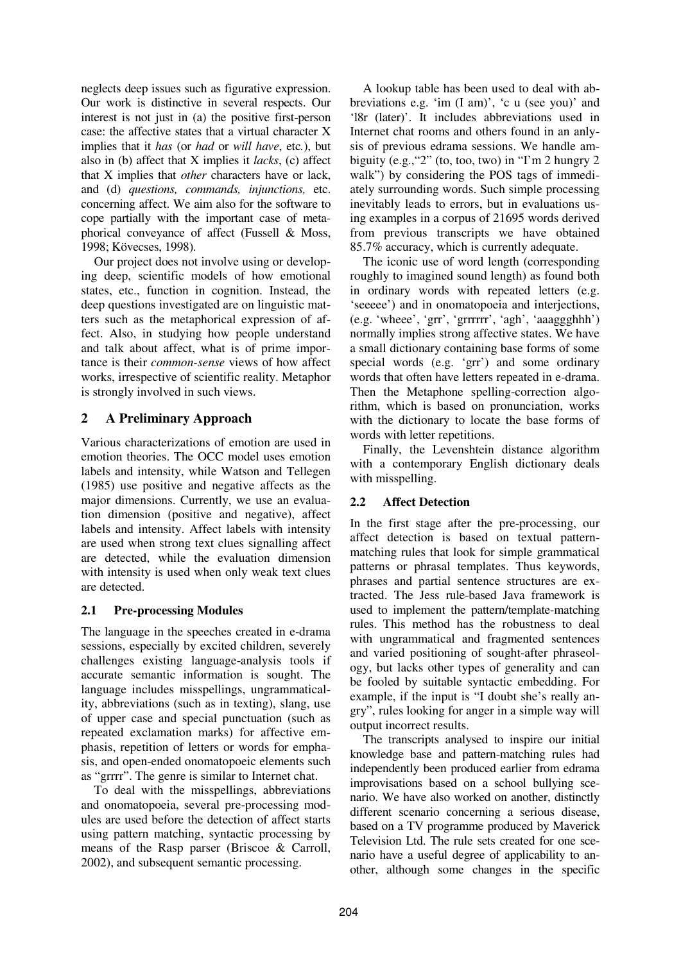neglects deep issues such as figurative expression. Our work is distinctive in several respects. Our interest is not just in (a) the positive first-person case: the affective states that a virtual character X implies that it *has* (or *had* or *will have*, etc*.*), but also in (b) affect that X implies it *lacks*, (c) affect that X implies that *other* characters have or lack, and (d) *questions, commands, injunctions,* etc. concerning affect. We aim also for the software to cope partially with the important case of metaphorical conveyance of affect (Fussell & Moss, 1998; Kövecses, 1998).

Our project does not involve using or developing deep, scientific models of how emotional states, etc., function in cognition. Instead, the deep questions investigated are on linguistic matters such as the metaphorical expression of affect. Also, in studying how people understand and talk about affect, what is of prime importance is their *common-sense* views of how affect works, irrespective of scientific reality. Metaphor is strongly involved in such views.

## **2 A Preliminary Approach**

Various characterizations of emotion are used in emotion theories. The OCC model uses emotion labels and intensity, while Watson and Tellegen (1985) use positive and negative affects as the major dimensions. Currently, we use an evaluation dimension (positive and negative), affect labels and intensity. Affect labels with intensity are used when strong text clues signalling affect are detected, while the evaluation dimension with intensity is used when only weak text clues are detected.

## **2.1 Pre-processing Modules**

The language in the speeches created in e-drama sessions, especially by excited children, severely challenges existing language-analysis tools if accurate semantic information is sought. The language includes misspellings, ungrammaticality, abbreviations (such as in texting), slang, use of upper case and special punctuation (such as repeated exclamation marks) for affective emphasis, repetition of letters or words for emphasis, and open-ended onomatopoeic elements such as "grrrr". The genre is similar to Internet chat.

To deal with the misspellings, abbreviations and onomatopoeia, several pre-processing modules are used before the detection of affect starts using pattern matching, syntactic processing by means of the Rasp parser (Briscoe & Carroll, 2002), and subsequent semantic processing.

A lookup table has been used to deal with abbreviations e.g. 'im (I am)', 'c u (see you)' and 'l8r (later)'. It includes abbreviations used in Internet chat rooms and others found in an anlysis of previous edrama sessions. We handle ambiguity (e.g.,"2" (to, too, two) in "I'm 2 hungry 2 walk") by considering the POS tags of immediately surrounding words. Such simple processing inevitably leads to errors, but in evaluations using examples in a corpus of 21695 words derived from previous transcripts we have obtained 85.7% accuracy, which is currently adequate.

The iconic use of word length (corresponding roughly to imagined sound length) as found both in ordinary words with repeated letters (e.g. 'seeeee') and in onomatopoeia and interjections, (e.g. 'wheee', 'grr', 'grrrrrr', 'agh', 'aaaggghhh') normally implies strong affective states. We have a small dictionary containing base forms of some special words (e.g. 'grr') and some ordinary words that often have letters repeated in e-drama. Then the Metaphone spelling-correction algorithm, which is based on pronunciation, works with the dictionary to locate the base forms of words with letter repetitions.

Finally, the Levenshtein distance algorithm with a contemporary English dictionary deals with misspelling.

## **2.2 Affect Detection**

In the first stage after the pre-processing, our affect detection is based on textual patternmatching rules that look for simple grammatical patterns or phrasal templates. Thus keywords, phrases and partial sentence structures are extracted. The Jess rule-based Java framework is used to implement the pattern/template-matching rules. This method has the robustness to deal with ungrammatical and fragmented sentences and varied positioning of sought-after phraseology, but lacks other types of generality and can be fooled by suitable syntactic embedding. For example, if the input is "I doubt she's really angry", rules looking for anger in a simple way will output incorrect results.

The transcripts analysed to inspire our initial knowledge base and pattern-matching rules had independently been produced earlier from edrama improvisations based on a school bullying scenario. We have also worked on another, distinctly different scenario concerning a serious disease, based on a TV programme produced by Maverick Television Ltd. The rule sets created for one scenario have a useful degree of applicability to another, although some changes in the specific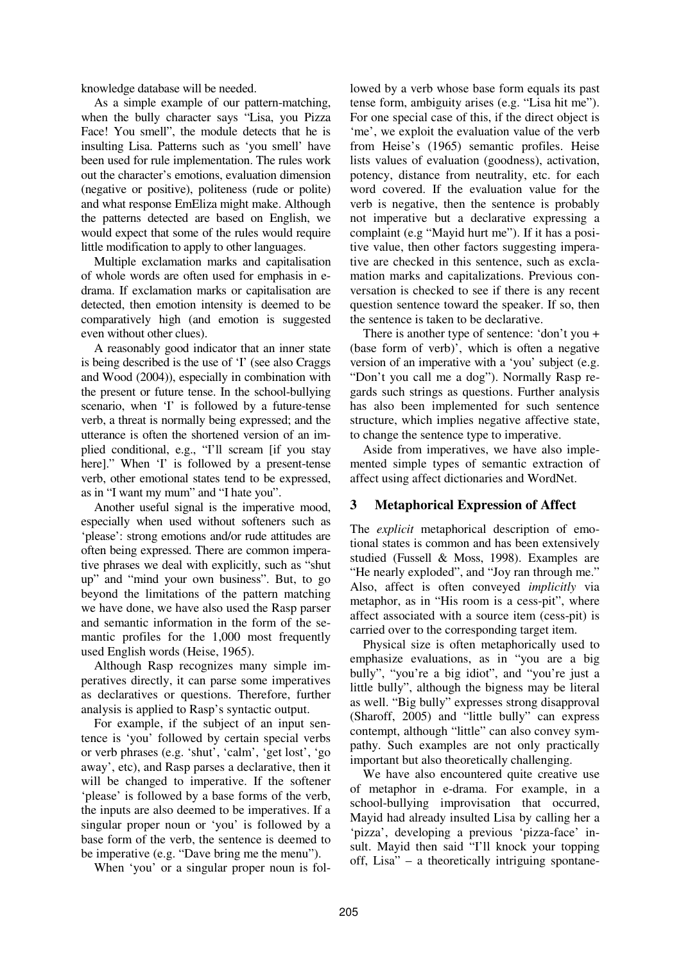knowledge database will be needed.

As a simple example of our pattern-matching, when the bully character says "Lisa, you Pizza Face! You smell", the module detects that he is insulting Lisa. Patterns such as 'you smell' have been used for rule implementation. The rules work out the character's emotions, evaluation dimension (negative or positive), politeness (rude or polite) and what response EmEliza might make. Although the patterns detected are based on English, we would expect that some of the rules would require little modification to apply to other languages.

Multiple exclamation marks and capitalisation of whole words are often used for emphasis in edrama. If exclamation marks or capitalisation are detected, then emotion intensity is deemed to be comparatively high (and emotion is suggested even without other clues).

A reasonably good indicator that an inner state is being described is the use of 'I' (see also Craggs and Wood (2004)), especially in combination with the present or future tense. In the school-bullying scenario, when 'I' is followed by a future-tense verb, a threat is normally being expressed; and the utterance is often the shortened version of an implied conditional, e.g., "I'll scream [if you stay here]." When 'I' is followed by a present-tense verb, other emotional states tend to be expressed, as in "I want my mum" and "I hate you".

Another useful signal is the imperative mood, especially when used without softeners such as 'please': strong emotions and/or rude attitudes are often being expressed. There are common imperative phrases we deal with explicitly, such as "shut up" and "mind your own business". But, to go beyond the limitations of the pattern matching we have done, we have also used the Rasp parser and semantic information in the form of the semantic profiles for the 1,000 most frequently used English words (Heise, 1965).

Although Rasp recognizes many simple imperatives directly, it can parse some imperatives as declaratives or questions. Therefore, further analysis is applied to Rasp's syntactic output.

For example, if the subject of an input sentence is 'you' followed by certain special verbs or verb phrases (e.g. 'shut', 'calm', 'get lost', 'go away', etc), and Rasp parses a declarative, then it will be changed to imperative. If the softener 'please' is followed by a base forms of the verb, the inputs are also deemed to be imperatives. If a singular proper noun or 'you' is followed by a base form of the verb, the sentence is deemed to be imperative (e.g. "Dave bring me the menu").

When 'you' or a singular proper noun is fol-

lowed by a verb whose base form equals its past tense form, ambiguity arises (e.g. "Lisa hit me"). For one special case of this, if the direct object is 'me', we exploit the evaluation value of the verb from Heise's (1965) semantic profiles. Heise lists values of evaluation (goodness), activation, potency, distance from neutrality, etc. for each word covered. If the evaluation value for the verb is negative, then the sentence is probably not imperative but a declarative expressing a complaint (e.g "Mayid hurt me"). If it has a positive value, then other factors suggesting imperative are checked in this sentence, such as exclamation marks and capitalizations. Previous conversation is checked to see if there is any recent question sentence toward the speaker. If so, then the sentence is taken to be declarative.

There is another type of sentence: 'don't you + (base form of verb)', which is often a negative version of an imperative with a 'you' subject (e.g. "Don't you call me a dog"). Normally Rasp regards such strings as questions. Further analysis has also been implemented for such sentence structure, which implies negative affective state, to change the sentence type to imperative.

Aside from imperatives, we have also implemented simple types of semantic extraction of affect using affect dictionaries and WordNet.

## **3 Metaphorical Expression of Affect**

The *explicit* metaphorical description of emotional states is common and has been extensively studied (Fussell & Moss, 1998). Examples are "He nearly exploded", and "Joy ran through me." Also, affect is often conveyed *implicitly* via metaphor, as in "His room is a cess-pit", where affect associated with a source item (cess-pit) is carried over to the corresponding target item.

Physical size is often metaphorically used to emphasize evaluations, as in "you are a big bully", "you're a big idiot", and "you're just a little bully", although the bigness may be literal as well. "Big bully" expresses strong disapproval (Sharoff, 2005) and "little bully" can express contempt, although "little" can also convey sympathy. Such examples are not only practically important but also theoretically challenging.

We have also encountered quite creative use of metaphor in e-drama. For example, in a school-bullying improvisation that occurred, Mayid had already insulted Lisa by calling her a 'pizza', developing a previous 'pizza-face' insult. Mayid then said "I'll knock your topping off, Lisa" – a theoretically intriguing spontane